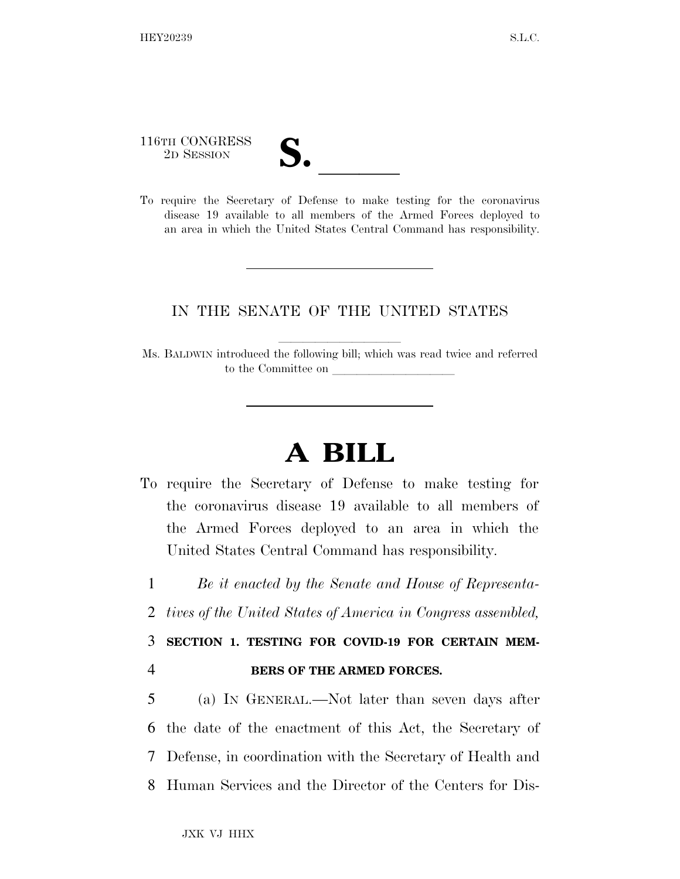## 116TH CONGRESS

116TH CONGRESS<br>
2D SESSION<br>
To require the Secretary of Defense to make testing for the coronavirus disease 19 available to all members of the Armed Forces deployed to an area in which the United States Central Command has responsibility.

## IN THE SENATE OF THE UNITED STATES

Ms. BALDWIN introduced the following bill; which was read twice and referred to the Committee on

## **A BILL**

To require the Secretary of Defense to make testing for the coronavirus disease 19 available to all members of the Armed Forces deployed to an area in which the United States Central Command has responsibility.

1 *Be it enacted by the Senate and House of Representa-*

2 *tives of the United States of America in Congress assembled,* 

3 **SECTION 1. TESTING FOR COVID-19 FOR CERTAIN MEM-**4 **BERS OF THE ARMED FORCES.** 

 (a) IN GENERAL.—Not later than seven days after the date of the enactment of this Act, the Secretary of Defense, in coordination with the Secretary of Health and Human Services and the Director of the Centers for Dis